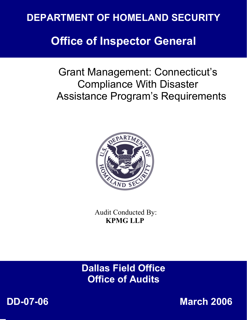# **DEPARTMENT OF HOMELAND SECURITY**

# **Office of Inspector General**

Grant Management: Connecticut's Compliance With Disaster Assistance Program's Requirements



 Audit Conducted By: **KPMG LLP** 

**Dallas Field Office** *Office of Audits* **<b>CENERAL PROPERTIES** 



 **DD-07-06 March 2006**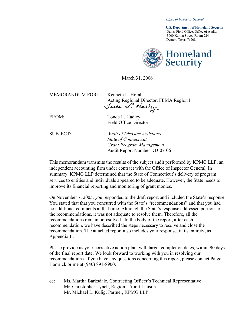*Office of Inspector General* 

 **U.S. Department of Homeland Security** Dallas Field Office, Office of Audits 3900 Karina Street, Room 224 Denton, Texas 76208



March 31, 2006

| $MEMORANDUM FOR+$              | Kenneth L. Horah                        |
|--------------------------------|-----------------------------------------|
|                                | Acting Regional Director, FEMA Region I |
|                                | Jonda L. Hadley                         |
|                                |                                         |
| $\mathbf{m} \wedge \mathbf{r}$ |                                         |

FROM: Tonda L. Hadley Field Office Director

SUBJECT: *Audit of Disaster Assistance State of Connecticut Grant Program Management*  Audit Report Number DD-07-06

This memorandum transmits the results of the subject audit performed by KPMG LLP, an independent accounting firm under contract with the Office of Inspector General. In summary, KPMG LLP determined that the State of Connecticut's delivery of program services to entities and individuals appeared to be adequate. However, the State needs to improve its financial reporting and monitoring of grant monies.

On November 7, 2005, you responded to the draft report and included the State's response. You stated that that you concurred with the State's "recommendations" and that you had no additional comments at that time. Although the State's response addressed portions of the recommendations, it was not adequate to resolve them. Therefore, all the recommendations remain unresolved. In the body of the report, after each recommendation, we have described the steps necessary to resolve and close the recommendation. The attached report also includes your response, in its entirety, as Appendix E.

Please provide us your corrective action plan, with target completion dates, within 90 days of the final report date. We look forward to working with you in resolving our recommendations. If you have any questions concerning this report, please contact Paige Hamrick or me at (940) 891-8900.

cc: Ms. Martha Barksdale, Contracting Officer's Technical Representative Mr. Christopher Lynch, Region I Audit Liaison Mr. Michael L. Kulig, Partner, KPMG LLP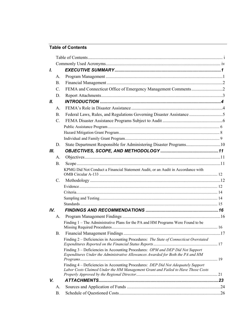# **Table of Contents**

| L   |                 |                                                                                                                                                                       |  |
|-----|-----------------|-----------------------------------------------------------------------------------------------------------------------------------------------------------------------|--|
|     | A.              |                                                                                                                                                                       |  |
|     | $\mathbf{B}$ .  |                                                                                                                                                                       |  |
|     | $\mathcal{C}$ . |                                                                                                                                                                       |  |
|     | D.              |                                                                                                                                                                       |  |
| II. |                 |                                                                                                                                                                       |  |
|     | $\mathsf{A}$ .  |                                                                                                                                                                       |  |
|     | B.              | Federal Laws, Rules, and Regulations Governing Disaster Assistance 5                                                                                                  |  |
|     | $C_{\cdot}$     |                                                                                                                                                                       |  |
|     |                 |                                                                                                                                                                       |  |
|     |                 |                                                                                                                                                                       |  |
|     |                 |                                                                                                                                                                       |  |
|     | D.              | State Department Responsible for Administering Disaster Programs10                                                                                                    |  |
| Ш.  |                 |                                                                                                                                                                       |  |
|     | A.              |                                                                                                                                                                       |  |
|     | <b>B</b> .      |                                                                                                                                                                       |  |
|     |                 | KPMG Did Not Conduct a Financial Statement Audit, or an Audit in Accordance with                                                                                      |  |
|     | $\mathcal{C}$ . |                                                                                                                                                                       |  |
|     |                 |                                                                                                                                                                       |  |
|     |                 |                                                                                                                                                                       |  |
|     |                 |                                                                                                                                                                       |  |
|     |                 |                                                                                                                                                                       |  |
| IV. |                 |                                                                                                                                                                       |  |
|     | A.              |                                                                                                                                                                       |  |
|     |                 | Finding 1 – The Administrative Plans for the PA and HM Programs Were Found to be                                                                                      |  |
|     | <b>B.</b>       |                                                                                                                                                                       |  |
|     |                 | Finding 2 – Deficiencies in Accounting Procedures: The State of Connecticut Overstated                                                                                |  |
|     |                 | Finding 3 – Deficiencies in Accounting Procedures: OPM and DEP Did Not Support<br>Expenditures Under the Administrative Allowances Awarded for Both the PA and HM     |  |
|     |                 | Finding 4 – Deficiencies in Accounting Procedures: DEP Did Not Adequately Support<br>Labor Costs Claimed Under the HM Management Grant and Failed to Have Those Costs |  |
|     |                 |                                                                                                                                                                       |  |
| V.  |                 |                                                                                                                                                                       |  |
|     | А.              |                                                                                                                                                                       |  |
|     | B.              |                                                                                                                                                                       |  |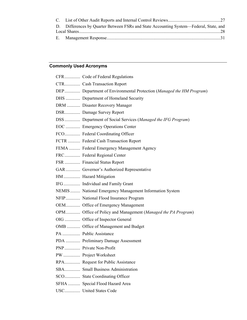| D. Differences by Quarter Between FSRs and State Accounting System—Federal, State, and |  |
|----------------------------------------------------------------------------------------|--|
|                                                                                        |  |
|                                                                                        |  |

# **Commonly Used Acronyms**

| CFR Code of Federal Regulations                                     |
|---------------------------------------------------------------------|
| CTR Cash Transaction Report                                         |
| DEP Department of Environmental Protection (Managed the HM Program) |
| DHS  Department of Homeland Security                                |
| DRM  Disaster Recovery Manager                                      |
| DSR Damage Survey Report                                            |
| DSS Department of Social Services (Managed the IFG Program)         |
| EOC  Emergency Operations Center                                    |
| FCO Federal Coordinating Officer                                    |
| FCTR  Federal Cash Transaction Report                               |
| FEMA  Federal Emergency Management Agency                           |
| FRC Federal Regional Center                                         |
| FSR  Financial Status Report                                        |
| GAR Governor's Authorized Representative                            |
| HM Hazard Mitigation                                                |
| IFG Individual and Family Grant                                     |
| NEMIS  National Emergency Management Information System             |
| NFIP National Flood Insurance Program                               |
| OEM Office of Emergency Management                                  |
| OPM Office of Policy and Management (Managed the PA Program)        |
| OIG  Office of Inspector General                                    |
| OMB  Office of Management and Budget                                |
|                                                                     |
| PDA  Preliminary Damage Assessment                                  |
|                                                                     |
|                                                                     |
| RPA Request for Public Assistance                                   |
| SBA Small Business Administration                                   |
| SCO State Coordinating Officer                                      |
| SFHA  Special Flood Hazard Area                                     |
| USC United States Code                                              |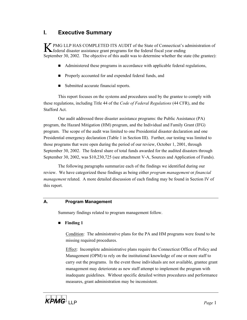# **I. Executive Summary**

K PMG LLP HAS COMPLETED ITS AUDIT of the State of Connecticut's administration of federal disaster assistance grant programs for the federal fiscal year ending September 30, 2002. The objective of this audit was to determine whether the state (the grantee):

- Administered these programs in accordance with applicable federal regulations,
- **Properly accounted for and expended federal funds, and**
- Submitted accurate financial reports.

This report focuses on the systems and procedures used by the grantee to comply with these regulations, including Title 44 of the *Code of Federal Regulations* (44 CFR), and the Stafford Act.

Our audit addressed three disaster assistance programs: the Public Assistance (PA) program, the Hazard Mitigation (HM) program, and the Individual and Family Grant (IFG) program. The scope of the audit was limited to one Presidential disaster declaration and one Presidential emergency declaration (Table 1 in Section III). Further, our testing was limited to those programs that were open during the period of our review, October 1, 2001, through September 30, 2002. The federal share of total funds awarded for the audited disasters through September 30, 2002, was \$10,230,725 (see attachment V-A, Sources and Application of Funds).

The following paragraphs summarize each of the findings we identified during our review. We have categorized these findings as being either *program management* or *financial management* related. A more detailed discussion of each finding may be found in Section IV of this report.

## **A. Program Management**

Summary findings related to program management follow.

**Finding 1**

Condition: The administrative plans for the PA and HM programs were found to be missing required procedures.

Effect: Incomplete administrative plans require the Connecticut Office of Policy and Management (OPM) to rely on the institutional knowledge of one or more staff to carry out the programs. In the event those individuals are not available, grantee grant management may deteriorate as new staff attempt to implement the program with inadequate guidelines. Without specific detailed written procedures and performance measures, grant administration may be inconsistent.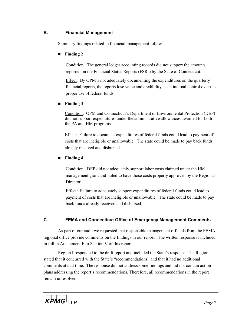#### **B. Financial Management**

Summary findings related to financial management follow.

#### **Finding 2**

Condition: The general ledger accounting records did not support the amounts reported on the Financial Status Reports (FSRs) by the State of Connecticut.

Effect: By OPM's not adequately documenting the expenditures on the quarterly financial reports, the reports lose value and credibility as an internal control over the proper use of federal funds.

#### **Finding 3**

Condition: OPM and Connecticut's Department of Environmental Protection (DEP) did not support expenditures under the administrative allowances awarded for both the PA and HM programs.

Effect: Failure to document expenditures of federal funds could lead to payment of costs that are ineligible or unallowable. The state could be made to pay back funds already received and disbursed.

#### **Finding 4**

Condition: DEP did not adequately support labor costs claimed under the HM management grant and failed to have those costs properly approved by the Regional Director.

Effect: Failure to adequately support expenditures of federal funds could lead to payment of costs that are ineligible or unallowable. The state could be made to pay back funds already received and disbursed.

#### **C. FEMA and Connecticut Office of Emergency Management Comments**

As part of our audit we requested that responsible management officials from the FEMA regional office provide comments on the findings in our report. The written response is included in full in Attachment E to Section V of this report.

Region I responded to the draft report and included the State's response. The Region stated that it concurred with the State's "recommendations" and that it had no additional comments at that time. The response did not address some findings and did not contain action plans addressing the report's recommendations. Therefore, all recommendations in the report remain unresolved.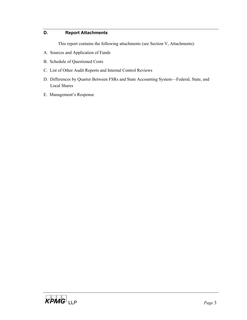## **D. Report Attachments**

This report contains the following attachments (see Section V, Attachments):

- A. Sources and Application of Funds
- B. Schedule of Questioned Costs
- C. List of Other Audit Reports and Internal Control Reviews
- D. Differences by Quarter Between FSRs and State Accounting System—Federal, State, and Local Shares
- E. Management's Response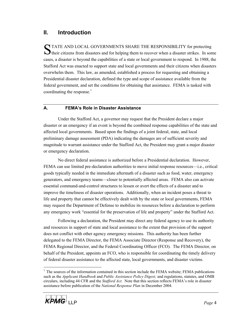# **II. Introduction**

STATE AND LOCAL GOVERNMENTS SHARE THE RESPONSIBILITY for protecting their citizens from disasters and for helping them to recover when a disaster strikes. In some cases, a disaster is beyond the capabilities of a state or local government to respond. In 1988, the Stafford Act was enacted to support state and local governments and their citizens when disasters overwhelm them. This law, as amended, established a process for requesting and obtaining a Presidential disaster declaration, defined the type and scope of assistance available from the federal government, and set the conditions for obtaining that assistance. FEMA is tasked with coordinating the response.<sup>1</sup>

# **A. FEMA's Role in Disaster Assistance**

Under the Stafford Act, a governor may request that the President declare a major disaster or an emergency if an event is beyond the combined response capabilities of the state and affected local governments. Based upon the findings of a joint federal, state, and local preliminary damage assessment (PDA) indicating the damages are of sufficient severity and magnitude to warrant assistance under the Stafford Act, the President may grant a major disaster or emergency declaration.

No direct federal assistance is authorized before a Presidential declaration. However, FEMA can use limited pre-declaration authorities to move initial response resources—i.e., critical goods typically needed in the immediate aftermath of a disaster such as food, water, emergency generators, and emergency teams—closer to potentially affected areas. FEMA also can activate essential command-and-control structures to lessen or avert the effects of a disaster and to improve the timeliness of disaster operations. Additionally, when an incident poses a threat to life and property that cannot be effectively dealt with by the state or local governments, FEMA may request the Department of Defense to mobilize its resources before a declaration to perform any emergency work "essential for the preservation of life and property" under the Stafford Act.

Following a declaration, the President may direct any federal agency to use its authority and resources in support of state and local assistance to the extent that provision of the support does not conflict with other agency emergency missions. This authority has been further delegated to the FEMA Director, the FEMA Associate Director (Response and Recovery), the FEMA Regional Director, and the Federal Coordinating Officer (FCO). The FEMA Director, on behalf of the President, appoints an FCO, who is responsible for coordinating the timely delivery of federal disaster assistance to the affected state, local governments, and disaster victims.

 $\overline{a}$ <sup>1</sup> The sources of the information contained in this section include the FEMA website; FEMA publications such as the *Applicant Handbook* and *Public Assistance Policy Digest;* and regulations, statutes, and OMB circulars, including 44 CFR and the *Stafford Act.* Note that this section reflects FEMA's role in disaster assistance before publication of the *National Response Plan* in December 2004.

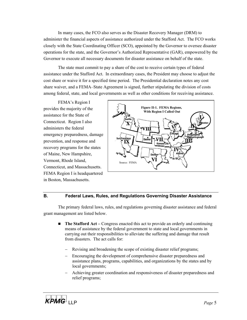In many cases, the FCO also serves as the Disaster Recovery Manager (DRM) to administer the financial aspects of assistance authorized under the Stafford Act. The FCO works closely with the State Coordinating Officer (SCO), appointed by the Governor to oversee disaster operations for the state, and the Governor's Authorized Representative (GAR), empowered by the Governor to execute all necessary documents for disaster assistance on behalf of the state.

The state must commit to pay a share of the cost to receive certain types of federal assistance under the Stafford Act. In extraordinary cases, the President may choose to adjust the cost share or waive it for a specified time period. The Presidential declaration notes any cost share waiver, and a FEMA–State Agreement is signed, further stipulating the division of costs among federal, state, and local governments as well as other conditions for receiving assistance.

FEMA's Region I provides the majority of the assistance for the State of Connecticut. Region I also administers the federal emergency preparedness, damage prevention, and response and recovery programs for the states of Maine, New Hampshire, Vermont, Rhode Island, Connecticut, and Massachusetts. FEMA Region I is headquartered in Boston, Massachusetts.



#### **B. Federal Laws, Rules, and Regulations Governing Disaster Assistance**

The primary federal laws, rules, and regulations governing disaster assistance and federal grant management are listed below.

- **The Stafford Act** Congress enacted this act to provide an orderly and continuing means of assistance by the federal government to state and local governments in carrying out their responsibilities to alleviate the suffering and damage that result from disasters. The act calls for:
	- Revising and broadening the scope of existing disaster relief programs;
	- − Encouraging the development of comprehensive disaster preparedness and assistance plans, programs, capabilities, and organizations by the states and by local governments;
	- − Achieving greater coordination and responsiveness of disaster preparedness and relief programs;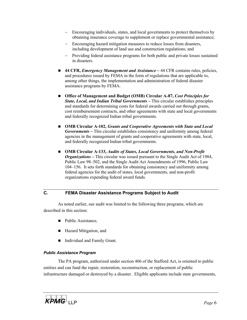- Encouraging individuals, states, and local governments to protect themselves by obtaining insurance coverage to supplement or replace governmental assistance; −
- − Encouraging hazard mitigation measures to reduce losses from disasters, including development of land use and construction regulations; and
- − Providing federal assistance programs for both public and private losses sustained in disasters.
- 44 CFR, *Emergency Management and Assistance* 44 CFR contains rules, policies, and procedures issued by FEMA in the form of regulations that are applicable to, among other things, the implementation and administration of federal disaster assistance programs by FEMA.
- Office of Management and Budget (OMB) Circular A-87, *Cost Principles for State, Local, and Indian Tribal Governments* **–** This circular establishes principles and standards for determining costs for federal awards carried out through grants, cost reimbursement contracts, and other agreements with state and local governments and federally recognized Indian tribal governments.
- **OMB Circular A-102,** *Grants and Cooperative Agreements with State and Local Governments* **–** This circular establishes consistency and uniformity among federal agencies in the management of grants and cooperative agreements with state, local, and federally recognized Indian tribal governments.
- OMB Circular A-133, *Audits of States, Local Governments, and Non-Profit Organizations* **–** This circular was issued pursuant to the Single Audit Act of 1984, Public Law 98–502, and the Single Audit Act Amendments of 1996, Public Law 104–156. It sets forth standards for obtaining consistency and uniformity among federal agencies for the audit of states, local governments, and non-profit organizations expending federal award funds.

#### **C. FEMA Disaster Assistance Programs Subject to Audit**

As noted earlier, our audit was limited to the following three programs, which are described in this section:

- Public Assistance,
- Hazard Mitigation, and
- Individual and Family Grant.

#### *Public Assistance Program*

The PA program, authorized under section 406 of the Stafford Act, is oriented to public entities and can fund the repair, restoration, reconstruction, or replacement of public infrastructure damaged or destroyed by a disaster. Eligible applicants include state governments,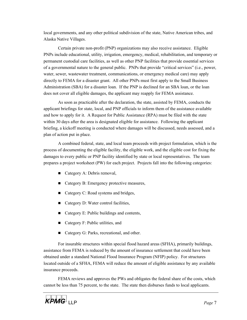local governments, and any other political subdivision of the state, Native American tribes, and Alaska Native Villages.

Certain private non-profit (PNP) organizations may also receive assistance. Eligible PNPs include educational, utility, irrigation, emergency, medical, rehabilitation, and temporary or permanent custodial care facilities, as well as other PNP facilities that provide essential services of a governmental nature to the general public. PNPs that provide "critical services" (i.e., power, water, sewer, wastewater treatment, communications, or emergency medical care) may apply directly to FEMA for a disaster grant. All other PNPs must first apply to the Small Business Administration (SBA) for a disaster loan. If the PNP is declined for an SBA loan, or the loan does not cover all eligible damages, the applicant may reapply for FEMA assistance.

As soon as practicable after the declaration, the state, assisted by FEMA, conducts the applicant briefings for state, local, and PNP officials to inform them of the assistance available and how to apply for it. A Request for Public Assistance (RPA) must be filed with the state within 30 days after the area is designated eligible for assistance. Following the applicant briefing, a kickoff meeting is conducted where damages will be discussed, needs assessed, and a plan of action put in place.

A combined federal, state, and local team proceeds with project formulation, which is the process of documenting the eligible facility, the eligible work, and the eligible cost for fixing the damages to every public or PNP facility identified by state or local representatives. The team prepares a project worksheet (PW) for each project. Projects fall into the following categories:

- Category A: Debris removal,
- Category B: Emergency protective measures,
- Category C: Road systems and bridges,
- Category D: Water control facilities,
- Category E: Public buildings and contents,
- Category F: Public utilities, and
- Category G: Parks, recreational, and other.

For insurable structures within special flood hazard areas (SFHA), primarily buildings, assistance from FEMA is reduced by the amount of insurance settlement that could have been obtained under a standard National Flood Insurance Program (NFIP) policy. For structures located outside of a SFHA, FEMA will reduce the amount of eligible assistance by any available insurance proceeds.

FEMA reviews and approves the PWs and obligates the federal share of the costs, which cannot be less than 75 percent, to the state. The state then disburses funds to local applicants.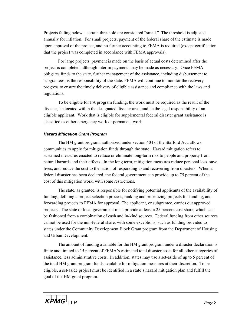Projects falling below a certain threshold are considered "small." The threshold is adjusted annually for inflation. For small projects, payment of the federal share of the estimate is made upon approval of the project, and no further accounting to FEMA is required (except certification that the project was completed in accordance with FEMA approvals).

For large projects, payment is made on the basis of actual costs determined after the project is completed, although interim payments may be made as necessary. Once FEMA obligates funds to the state, further management of the assistance, including disbursement to subgrantees, is the responsibility of the state. FEMA will continue to monitor the recovery progress to ensure the timely delivery of eligible assistance and compliance with the laws and regulations.

To be eligible for PA program funding, the work must be required as the result of the disaster, be located within the designated disaster area, and be the legal responsibility of an eligible applicant. Work that is eligible for supplemental federal disaster grant assistance is classified as either emergency work or permanent work.

#### *Hazard Mitigation Grant Program*

The HM grant program, authorized under section 404 of the Stafford Act, allows communities to apply for mitigation funds through the state. Hazard mitigation refers to sustained measures enacted to reduce or eliminate long-term risk to people and property from natural hazards and their effects. In the long term, mitigation measures reduce personal loss, save lives, and reduce the cost to the nation of responding to and recovering from disasters. When a federal disaster has been declared, the federal government can provide up to 75 percent of the cost of this mitigation work, with some restrictions.

The state, as grantee, is responsible for notifying potential applicants of the availability of funding, defining a project selection process, ranking and prioritizing projects for funding, and forwarding projects to FEMA for approval. The applicant, or subgrantee, carries out approved projects. The state or local government must provide at least a 25 percent cost share, which can be fashioned from a combination of cash and in-kind sources. Federal funding from other sources cannot be used for the non-federal share, with some exceptions, such as funding provided to states under the Community Development Block Grant program from the Department of Housing and Urban Development.

The amount of funding available for the HM grant program under a disaster declaration is finite and limited to 15 percent of FEMA's estimated total disaster costs for all other categories of assistance, less administrative costs. In addition, states may use a set-aside of up to 5 percent of the total HM grant program funds available for mitigation measures at their discretion. To be eligible, a set-aside project must be identified in a state's hazard mitigation plan and fulfill the goal of the HM grant program.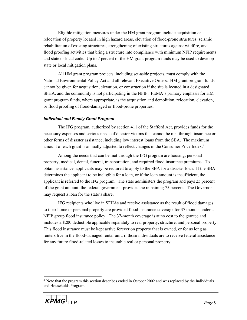Eligible mitigation measures under the HM grant program include acquisition or relocation of property located in high hazard areas, elevation of flood-prone structures, seismic rehabilitation of existing structures, strengthening of existing structures against wildfire, and flood proofing activities that bring a structure into compliance with minimum NFIP requirements and state or local code. Up to 7 percent of the HM grant program funds may be used to develop state or local mitigation plans.

All HM grant program projects, including set-aside projects, must comply with the National Environmental Policy Act and all relevant Executive Orders. HM grant program funds cannot be given for acquisition, elevation, or construction if the site is located in a designated SFHA, and the community is not participating in the NFIP. FEMA's primary emphasis for HM grant program funds, where appropriate, is the acquisition and demolition, relocation, elevation, or flood proofing of flood-damaged or flood-prone properties.

#### *Individual and Family Grant Program*

The IFG program, authorized by section 411 of the Stafford Act, provides funds for the necessary expenses and serious needs of disaster victims that cannot be met through insurance or other forms of disaster assistance, including low interest loans from the SBA. The maximum amount of each grant is annually adjusted to reflect changes in the Consumer Price Index.<sup>2</sup>

Among the needs that can be met through the IFG program are housing, personal property, medical, dental, funeral, transportation, and required flood insurance premiums. To obtain assistance, applicants may be required to apply to the SBA for a disaster loan. If the SBA determines the applicant to be ineligible for a loan, or if the loan amount is insufficient, the applicant is referred to the IFG program. The state administers the program and pays 25 percent of the grant amount; the federal government provides the remaining 75 percent. The Governor may request a loan for the state's share.

IFG recipients who live in SFHAs and receive assistance as the result of flood damages to their home or personal property are provided flood insurance coverage for 37 months under a NFIP group flood insurance policy. The 37-month coverage is at no cost to the grantee and includes a \$200 deductible applicable separately to real property, structure, and personal property. This flood insurance must be kept active forever on property that is owned, or for as long as renters live in the flood-damaged rental unit, if those individuals are to receive federal assistance for any future flood-related losses to insurable real or personal property.

<sup>&</sup>lt;sup>2</sup> Note that the program this section describes ended in October 2002 and was replaced by the Individuals and Households Program.



 $\overline{a}$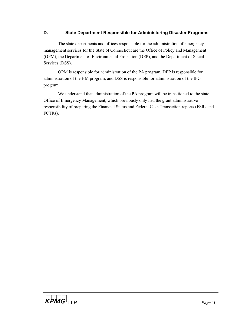### **D. State Department Responsible for Administering Disaster Programs**

The state departments and offices responsible for the administration of emergency management services for the State of Connecticut are the Office of Policy and Management (OPM), the Department of Environmental Protection (DEP), and the Department of Social Services (DSS).

OPM is responsible for administration of the PA program, DEP is responsible for administration of the HM program, and DSS is responsible for administration of the IFG program.

We understand that administration of the PA program will be transitioned to the state Office of Emergency Management, which previously only had the grant administrative responsibility of preparing the Financial Status and Federal Cash Transaction reports (FSRs and FCTRs).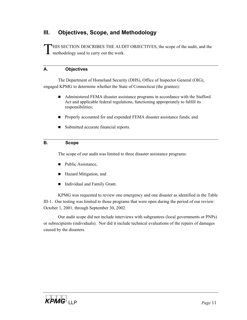# **III. Objectives, Scope, and Methodology**

THIS SECTION DESCRIBES THE AUDIT OBJECTIVES, the scope of the audit, and the **L** methodology used to carry out the work.

## **A. Objectives**

The Department of Homeland Security (DHS), Office of Inspector General (OIG), engaged KPMG to determine whether the State of Connecticut (the grantee):

- Administered FEMA disaster assistance programs in accordance with the Stafford Act and applicable federal regulations, functioning appropriately to fulfill its responsibilities;
- **Properly accounted for and expended FEMA disaster assistance funds; and**
- Submitted accurate financial reports.

# **B. Scope**

The scope of our audit was limited to three disaster assistance programs:

- Public Assistance,
- Hazard Mitigation, and
- Individual and Family Grant.

KPMG was requested to review one emergency and one disaster as identified in the Table III-1. Our testing was limited to those programs that were open during the period of our review: October 1, 2001, through September 30, 2002.

Our audit scope did not include interviews with subgrantees (local governments or PNPs) or subrecipients (individuals). Nor did it include technical evaluations of the repairs of damages caused by the disasters.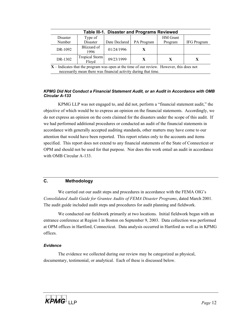| <b>Table III-1. Disaster and Programs Reviewed</b> |                         |               |            |                 |             |  |
|----------------------------------------------------|-------------------------|---------------|------------|-----------------|-------------|--|
| Disaster                                           | Type of                 |               |            | <b>HM</b> Grant |             |  |
| Number                                             | Disaster                | Date Declared | PA Program | Program         | IFG Program |  |
| DR-1092                                            | Blizzard of<br>1996     | 01/24/1996    |            |                 |             |  |
| DR-1302                                            | Tropical Storm<br>Floyd | 09/23/1999    | X          | X               |             |  |

**X** – Indicates that the program was open at the time of our review. However, this does not necessarily mean there was financial activity during that time.

#### *KPMG Did Not Conduct a Financial Statement Audit, or an Audit in Accordance with OMB Circular A-133*

KPMG LLP was not engaged to, and did not, perform a "financial statement audit," the objective of which would be to express an opinion on the financial statements. Accordingly, we do not express an opinion on the costs claimed for the disasters under the scope of this audit. If we had performed additional procedures or conducted an audit of the financial statements in accordance with generally accepted auditing standards, other matters may have come to our attention that would have been reported. This report relates only to the accounts and items specified. This report does not extend to any financial statements of the State of Connecticut or OPM and should not be used for that purpose. Nor does this work entail an audit in accordance with OMB Circular A-133.

## **C. Methodology**

We carried out our audit steps and procedures in accordance with the FEMA OIG's *Consolidated Audit Guide for Grantee Audits of FEMA Disaster Programs*, dated March 2001. The audit guide included audit steps and procedures for audit planning and fieldwork.

We conducted our fieldwork primarily at two locations. Initial fieldwork began with an entrance conference at Region I in Boston on September 9, 2003. Data collection was performed at OPM offices in Hartford, Connecticut. Data analysis occurred in Hartford as well as in KPMG offices.

#### *Evidence*

The evidence we collected during our review may be categorized as physical, documentary, testimonial, or analytical. Each of these is discussed below.

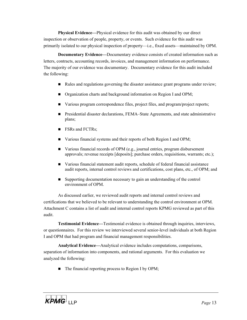**Physical Evidence—**Physical evidence for this audit was obtained by our direct inspection or observation of people, property, or events. Such evidence for this audit was primarily isolated to our physical inspection of property—i.e., fixed assets—maintained by OPM.

**Documentary Evidence—**Documentary evidence consists of created information such as letters, contracts, accounting records, invoices, and management information on performance. The majority of our evidence was documentary. Documentary evidence for this audit included the following:

- Rules and regulations governing the disaster assistance grant programs under review;
- Organization charts and background information on Region I and OPM;
- Various program correspondence files, project files, and program/project reports;
- Presidential disaster declarations, FEMA–State Agreements, and state administrative plans;
- **FSRs** and FCTRs;
- Various financial systems and their reports of both Region I and OPM;
- Various financial records of OPM (e.g., journal entries, program disbursement approvals; revenue receipts [deposits]; purchase orders, requisitions, warrants; etc.);
- Various financial statement audit reports, schedule of federal financial assistance audit reports, internal control reviews and certifications, cost plans, etc., of OPM; and
- Supporting documentation necessary to gain an understanding of the control environment of OPM.

As discussed earlier, we reviewed audit reports and internal control reviews and certifications that we believed to be relevant to understanding the control environment at OPM. Attachment C contains a list of audit and internal control reports KPMG reviewed as part of this audit.

**Testimonial Evidence—**Testimonial evidence is obtained through inquiries, interviews, or questionnaires. For this review we interviewed several senior-level individuals at both Region I and OPM that had program and financial management responsibilities.

**Analytical Evidence—**Analytical evidence includes computations, comparisons, separation of information into components, and rational arguments. For this evaluation we analyzed the following:

 $\blacksquare$  The financial reporting process to Region I by OPM;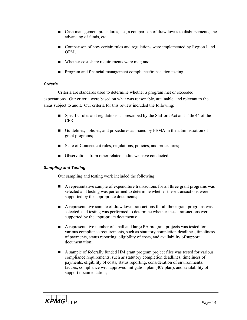- Cash management procedures, i.e., a comparison of drawdowns to disbursements, the advancing of funds, etc.;
- **Comparison of how certain rules and regulations were implemented by Region I and** OPM;
- Whether cost share requirements were met; and
- Program and financial management compliance/transaction testing.

## *Criteria*

Criteria are standards used to determine whether a program met or exceeded expectations. Our criteria were based on what was reasonable, attainable, and relevant to the areas subject to audit. Our criteria for this review included the following:

- Specific rules and regulations as prescribed by the Stafford Act and Title 44 of the CFR;
- Guidelines, policies, and procedures as issued by FEMA in the administration of grant programs;
- State of Connecticut rules, regulations, policies, and procedures;
- Observations from other related audits we have conducted.

## *Sampling and Testing*

Our sampling and testing work included the following:

- A representative sample of expenditure transactions for all three grant programs was selected and testing was performed to determine whether these transactions were supported by the appropriate documents;
- A representative sample of drawdown transactions for all three grant programs was selected, and testing was performed to determine whether these transactions were supported by the appropriate documents;
- A representative number of small and large PA program projects was tested for various compliance requirements, such as statutory completion deadlines, timeliness of payments, status reporting, eligibility of costs, and availability of support documentation;
- A sample of federally funded HM grant program project files was tested for various compliance requirements, such as statutory completion deadlines, timeliness of payments, eligibility of costs, status reporting, consideration of environmental factors, compliance with approved mitigation plan (409 plan), and availability of support documentation;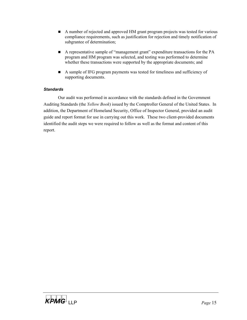- A number of rejected and approved HM grant program projects was tested for various compliance requirements, such as justification for rejection and timely notification of subgrantee of determination;
- A representative sample of "management grant" expenditure transactions for the PA program and HM program was selected, and testing was performed to determine whether these transactions were supported by the appropriate documents; and
- A sample of IFG program payments was tested for timeliness and sufficiency of supporting documents.

### *Standards*

Our audit was performed in accordance with the standards defined in the Government Auditing Standards (the *Yellow Book*) issued by the Comptroller General of the United States. In addition, the Department of Homeland Security, Office of Inspector General, provided an audit guide and report format for use in carrying out this work. These two client-provided documents identified the audit steps we were required to follow as well as the format and content of this report.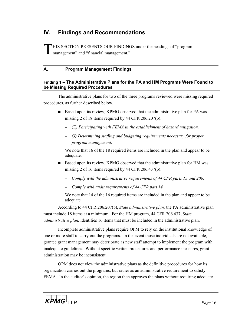# **IV. Findings and Recommendations**

THIS SECTION PRESENTS OUR FINDINGS under the headings of "program **1** management" and "financial management."

# **A. Program Management Findings**

#### **Finding 1 – The Administrative Plans for the PA and HM Programs Were Found to be Missing Required Procedures**

The administrative plans for two of the three programs reviewed were missing required procedures, as further described below.

- Based upon its review, KPMG observed that the administrative plan for PA was missing 2 of 18 items required by 44 CFR 206.207(b):
	- − (E*) Participating with FEMA in the establishment of hazard mitigation.*
	- − *(J) Determining staffing and budgeting requirements necessary for proper program management.*

We note that 16 of the 18 required items are included in the plan and appear to be adequate.

- Based upon its review, KPMG observed that the administrative plan for HM was missing 2 of 16 items required by 44 CFR 206.437(b):
	- − *Comply with the administrative requirements of 44 CFR parts 13 and 206.*
	- − *Comply with audit requirements of 44 CFR part 14.*

We note that 14 of the 16 required items are included in the plan and appear to be adequate.

According to 44 CFR 206.207(b), *State administrative plan,* the PA administrative plan must include 18 items at a minimum. For the HM program, 44 CFR 206.437, *State administrative plan,* identifies 16 items that must be included in the administrative plan.

Incomplete administrative plans require OPM to rely on the institutional knowledge of one or more staff to carry out the programs. In the event those individuals are not available, grantee grant management may deteriorate as new staff attempt to implement the program with inadequate guidelines. Without specific written procedures and performance measures, grant administration may be inconsistent.

OPM does not view the administrative plans as the definitive procedures for how its organization carries out the programs, but rather as an administrative requirement to satisfy FEMA. In the auditor's opinion, the region then approves the plans without requiring adequate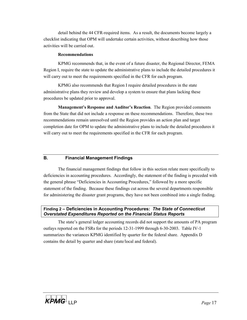detail behind the 44 CFR-required items. As a result, the documents become largely a checklist indicating that OPM will undertake certain activities, without describing how those activities will be carried out.

#### **Recommendations**

KPMG recommends that, in the event of a future disaster, the Regional Director, FEMA Region I, require the state to update the administrative plans to include the detailed procedures it will carry out to meet the requirements specified in the CFR for each program.

KPMG also recommends that Region I require detailed procedures in the state administrative plans they review and develop a system to ensure that plans lacking these procedures be updated prior to approval.

**Management's Response and Auditor's Reaction**. The Region provided comments from the State that did not include a response on these recommendations. Therefore, these two recommendations remain unresolved until the Region provides an action plan and target completion date for OPM to update the administrative plans to include the detailed procedures it will carry out to meet the requirements specified in the CFR for each program.

#### **B. Financial Management Findings**

The financial management findings that follow in this section relate more specifically to deficiencies in accounting procedures. Accordingly, the statement of the finding is preceded with the general phrase "Deficiencies in Accounting Procedures," followed by a more specific statement of the finding. Because these findings cut across the several departments responsible for administering the disaster grant programs, they have not been combined into a single finding.

#### **Finding 2 – Deficiencies in Accounting Procedures:** *The State of Connecticut Overstated Expenditures Reported on the Financial Status Reports*

The state's general ledger accounting records did not support the amounts of PA program outlays reported on the FSRs for the periods 12-31-1999 through 6-30-2003. Table IV-1 summarizes the variances KPMG identified by quarter for the federal share. Appendix D contains the detail by quarter and share (state/local and federal).

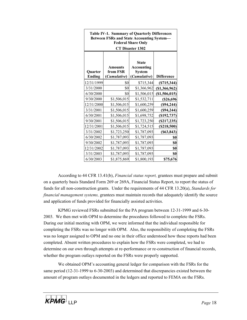| <b>Table IV-1. Summary of Quarterly Differences</b><br><b>Between FSRs and State Accounting System-</b><br><b>Federal Share Only</b><br><b>CT Disaster 1302</b> |                                     |                                                             |                   |  |  |  |
|-----------------------------------------------------------------------------------------------------------------------------------------------------------------|-------------------------------------|-------------------------------------------------------------|-------------------|--|--|--|
| Quarter<br><b>Ending</b>                                                                                                                                        | Amounts<br>from FSR<br>(Cumulative) | <b>State</b><br>Accounting<br><b>System</b><br>(Cumulative) | <b>Difference</b> |  |  |  |
| 12/31/1999                                                                                                                                                      | \$0                                 | \$715,344                                                   | (\$715,344)       |  |  |  |
| 3/31/2000                                                                                                                                                       | \$0                                 | \$1,366,962                                                 | (\$1,366,962)     |  |  |  |
| 6/30/2000                                                                                                                                                       | \$0                                 | \$1,506,015                                                 | $(\$1,506,015)$   |  |  |  |
| 9/30/2000                                                                                                                                                       | \$1,506,015                         | \$1,532,711                                                 | $(\$26,696$       |  |  |  |
| 12/31/2000                                                                                                                                                      | \$1,506,015                         | \$1,600,259                                                 | (\$94,244)        |  |  |  |
| 3/31/2001                                                                                                                                                       | \$1,506,015                         | \$1,600,259                                                 | (\$94,244)        |  |  |  |
| 6/30/2001                                                                                                                                                       | \$1,506,015                         | \$1,698,752                                                 | $($ \$192,737 $)$ |  |  |  |
| 9/30/2001                                                                                                                                                       | \$1,506,015                         | \$1,723,250                                                 | (S217, 235)       |  |  |  |
| 12/31/2001                                                                                                                                                      | \$1,506,015                         | \$1,724,515                                                 | (\$218,500)       |  |  |  |
| 3/31/2002                                                                                                                                                       | \$1,723,250                         | \$1,787,093                                                 | $($ \$63,843)     |  |  |  |
| 6/30/2002                                                                                                                                                       | \$1,787,093                         | \$1,787,093                                                 | \$0               |  |  |  |
| 9/30/2002                                                                                                                                                       | \$1,787,093                         | \$1,787,093                                                 | \$0               |  |  |  |
| 12/31/2002                                                                                                                                                      | \$1,787,093                         | \$1,787,093                                                 | \$0               |  |  |  |
| 3/31/2003                                                                                                                                                       | \$1,787,093                         | \$1,787,093                                                 | \$0               |  |  |  |
| 6/30/2003                                                                                                                                                       | \$1,875,869                         | \$1,800,193                                                 | \$75,676          |  |  |  |

According to 44 CFR 13.41(b), *Financial status report,* grantees must prepare and submit on a quarterly basis Standard Form 269 or 269A, Financial Status Report, to report the status of funds for all non-construction grants. Under the requirements of 44 CFR 13.20(a), *Standards for financial management systems,* grantees must maintain records that adequately identify the source and application of funds provided for financially assisted activities.

KPMG reviewed FSRs submitted for the PA program between 12-31-1999 and 6-30- 2003. We then met with OPM to determine the procedures followed to complete the FSRs. During our initial meeting with OPM, we were informed that the individual responsible for completing the FSRs was no longer with OPM. Also, the responsibility of completing the FSRs was no longer assigned to OPM and no one in their office understood how these reports had been completed. Absent written procedures to explain how the FSRs were completed, we had to determine on our own through attempts at re-performance or re-construction of financial records, whether the program outlays reported on the FSRs were properly supported.

We obtained OPM's accounting general ledger for comparison with the FSRs for the same period (12-31-1999 to 6-30-2003) and determined that discrepancies existed between the amount of program outlays documented in the ledgers and reported to FEMA on the FSRs.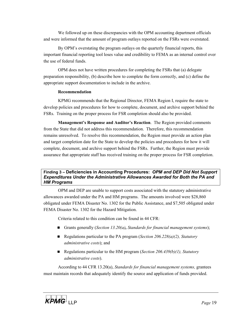We followed up on these discrepancies with the OPM accounting department officials and were informed that the amount of program outlays reported on the FSRs were overstated.

By OPM's overstating the program outlays on the quarterly financial reports, this important financial reporting tool loses value and credibility to FEMA as an internal control over the use of federal funds.

OPM does not have written procedures for completing the FSRs that (a) delegate preparation responsibility, (b) describe how to complete the form correctly, and (c) define the appropriate support documentation to include in the archive.

#### **Recommendation**

KPMG recommends that the Regional Director, FEMA Region I, require the state to develop policies and procedures for how to complete, document, and archive support behind the FSRs. Training on the proper process for FSR completion should also be provided.

**Management's Response and Auditor's Reaction**. The Region provided comments from the State that did not address this recommendation. Therefore, this recommendation remains unresolved. To resolve this recommendation, the Region must provide an action plan and target completion date for the State to develop the policies and procedures for how it will complete, document, and archive support behind the FSRs. Further, the Region must provide assurance that appropriate staff has received training on the proper process for FSR completion.

### **Finding 3 – Deficiencies in Accounting Procedures:** *OPM and DEP Did Not Support Expenditures Under the Administrative Allowances Awarded for Both the PA and HM Programs*

OPM and DEP are unable to support costs associated with the statutory administrative allowances awarded under the PA and HM programs. The amounts involved were \$28,860 obligated under FEMA Disaster No. 1302 for the Public Assistance, and \$7,505 obligated under FEMA Disaster No. 1302 for the Hazard Mitigation.

Criteria related to this condition can be found in 44 CFR:

- Grants generally (*Section 13.20(a), Standards for financial management systems*);
- Regulations particular to the PA program (*Section 206.228(a)(2)*, *Statutory administrative costs*); and
- Regulations particular to the HM program (*Section 206.439(b)(1), Statutory administrative costs*).

According to 44 CFR 13.20(a), *Standards for financial management systems,* grantees must maintain records that adequately identify the source and application of funds provided.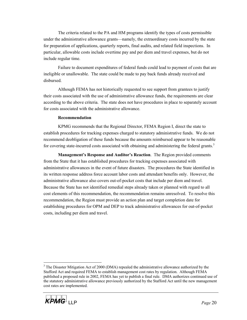The criteria related to the PA and HM programs identify the types of costs permissible under the administrative allowance grants—namely, the extraordinary costs incurred by the state for preparation of applications, quarterly reports, final audits, and related field inspections. In particular, allowable costs include overtime pay and per diem and travel expenses, but do not include regular time.

Failure to document expenditures of federal funds could lead to payment of costs that are ineligible or unallowable. The state could be made to pay back funds already received and disbursed.

Although FEMA has not historically requested to see support from grantees to justify their costs associated with the use of administrative allowance funds, the requirements are clear according to the above criteria. The state does not have procedures in place to separately account for costs associated with the administrative allowance.

#### **Recommendation**

KPMG recommends that the Regional Director, FEMA Region I, direct the state to establish procedures for tracking expenses charged to statutory administrative funds. We do not recommend deobligation of these funds because the amounts reimbursed appear to be reasonable for covering state-incurred costs associated with obtaining and administering the federal grants.<sup>3</sup>

**Management's Response and Auditor's Reaction**. The Region provided comments from the State that it has established procedures for tracking expenses associated with administrative allowances in the event of future disasters. The procedures the State identified in its written response address force account labor costs and attendant benefits only. However, the administrative allowance also covers out-of-pocket costs that include per diem and travel. Because the State has not identified remedial steps already taken or planned with regard to all cost elements of this recommendation, the recommendation remains unresolved. To resolve this recommendation, the Region must provide an action plan and target completion date for establishing procedures for OPM and DEP to track administrative allowances for out-of-pocket costs, including per diem and travel.

 $3$  The Disaster Mitigation Act of 2000 (DMA) repealed the administrative allowance authorized by the Stafford Act and required FEMA to establish management cost rates by regulation. Although FEMA published a proposed rule in 2002, FEMA has yet to publish a final rule. DMA authorizes continued use of the statutory administrative allowance previously authorized by the Stafford Act until the new management cost rates are implemented.



 $\overline{a}$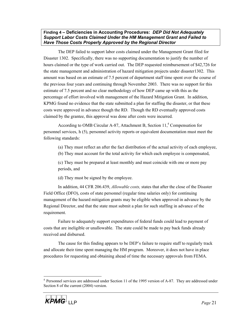**Finding 4 – Deficiencies in Accounting Procedures:** *DEP Did Not Adequately Support Labor Costs Claimed Under the HM Management Grant and Failed to Have Those Costs Properly Approved by the Regional Director*

The DEP failed to support labor costs claimed under the Management Grant filed for Disaster 1302. Specifically, there was no supporting documentation to justify the number of hours claimed or the type of work carried out. The DEP requested reimbursement of \$42,726 for the state management and administration of hazard mitigation projects under disaster1302. This amount was based on an estimate of 7.5 percent of department staff time spent over the course of the previous four years and continuing through November 2003. There was no support for this estimate of 7.5 percent and no clear methodology of how DEP came up with this as the percentage of effort involved with management of the Hazard Mitigation Grant. In addition, KPMG found no evidence that the state submitted a plan for staffing the disaster, or that these costs were approved in advance though the RD. Though the RD eventually approved costs claimed by the grantee, this approval was done after costs were incurred.

According to OMB Circular A-87, Attachment B, Section 11, 4 Compensation for personnel services, h (5), personnel activity reports or equivalent documentation must meet the following standards:

(a) They must reflect an after the fact distribution of the actual activity of each employee,

(b) They must account for the total activity for which each employee is compensated,

(c) They must be prepared at least monthly and must coincide with one or more pay periods, and

(d) They must be signed by the employee.

In addition, 44 CFR 206.439, *Allowable costs,* states that after the close of the Disaster Field Office (DFO), costs of state personnel (regular time salaries only) for continuing management of the hazard mitigation grants may be eligible when approved in advance by the Regional Director, and that the state must submit a plan for such staffing in advance of the requirement.

Failure to adequately support expenditures of federal funds could lead to payment of costs that are ineligible or unallowable. The state could be made to pay back funds already received and disbursed.

The cause for this finding appears to be DEP's failure to require staff to regularly track and allocate their time spent managing the HM program. Moreover, it does not have in place procedures for requesting and obtaining ahead of time the necessary approvals from FEMA.

 $4$  Personnel services are addressed under Section 11 of the 1995 version of A-87. They are addressed under Section 8 of the current (2004) version.



 $\overline{a}$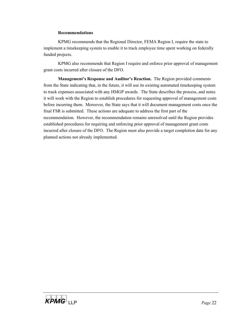#### **Recommendations**

KPMG recommends that the Regional Director, FEMA Region I, require the state to implement a timekeeping system to enable it to track employee time spent working on federally funded projects.

KPMG also recommends that Region I require and enforce prior approval of management grant costs incurred after closure of the DFO.

**Management's Response and Auditor's Reaction.** The Region provided comments from the State indicating that, in the future, it will use its existing automated timekeeping system to track expenses associated with any HMGP awards. The State describes the process, and notes it will work with the Region to establish procedures for requesting approval of management costs before incurring them. Moreover, the State says that it will document management costs once the final FSR is submitted. These actions are adequate to address the first part of the recommendation. However, the recommendation remains unresolved until the Region provides established procedures for requiring and enforcing prior approval of management grant costs incurred after closure of the DFO. The Region must also provide a target completion date for any planned actions not already implemented.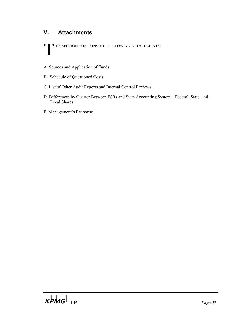# **V. Attachments**

THIS SECTION CONTAINS THE FOLLOWING ATTACHMENTS:

- A. Sources and Application of Funds
- B. Schedule of Questioned Costs
- C. List of Other Audit Reports and Internal Control Reviews
- D. Differences by Quarter Between FSRs and State Accounting System—Federal, State, and Local Shares
- E. Management's Response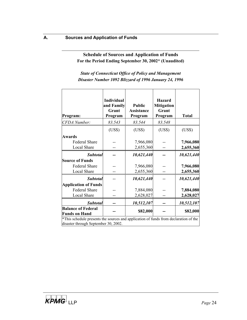**Schedule of Sources and Application of Funds For the Period Ending September 30, 2002\* (Unaudited)** 

*State of Connecticut Office of Policy and Management Disaster Number 1092 Blizzard of 1996 January 24, 1996* 

| Program:                                          | Individual<br>and Family<br>Grant<br>Program                                                                                 | <b>Public</b><br><b>Assistance</b><br>Program | <b>Hazard</b><br><b>Mitigation</b><br>Grant<br>Program | <b>Total</b> |  |  |  |  |
|---------------------------------------------------|------------------------------------------------------------------------------------------------------------------------------|-----------------------------------------------|--------------------------------------------------------|--------------|--|--|--|--|
| <b>CFDA</b> Number:                               | 83.543                                                                                                                       | 83.544                                        | 83.548                                                 |              |  |  |  |  |
|                                                   | (US\$)                                                                                                                       | (US\$)                                        | (US\$)                                                 | (US\$)       |  |  |  |  |
| <b>Awards</b>                                     |                                                                                                                              |                                               |                                                        |              |  |  |  |  |
| <b>Federal Share</b>                              |                                                                                                                              | 7,966,080                                     |                                                        | 7,966,080    |  |  |  |  |
| <b>Local Share</b>                                |                                                                                                                              | 2,655,360                                     |                                                        | 2,655,360    |  |  |  |  |
| <b>Subtotal</b>                                   |                                                                                                                              | 10,621,440                                    |                                                        | 10,621,440   |  |  |  |  |
| <b>Source of Funds</b>                            |                                                                                                                              |                                               |                                                        |              |  |  |  |  |
| <b>Federal Share</b>                              |                                                                                                                              | 7,966,080                                     |                                                        | 7,966,080    |  |  |  |  |
| Local Share                                       |                                                                                                                              | 2,655,360                                     |                                                        | 2,655,360    |  |  |  |  |
| <b>Subtotal</b>                                   |                                                                                                                              | 10,621,440                                    |                                                        | 10,621,440   |  |  |  |  |
| <b>Application of Funds</b>                       |                                                                                                                              |                                               |                                                        |              |  |  |  |  |
| <b>Federal Share</b>                              |                                                                                                                              | 7,884,080                                     |                                                        | 7,884,080    |  |  |  |  |
| <b>Local Share</b>                                |                                                                                                                              | 2,628,027                                     |                                                        | 2,628,027    |  |  |  |  |
| <b>Subtotal</b>                                   |                                                                                                                              | 10,512,107                                    |                                                        | 10,512,107   |  |  |  |  |
| <b>Balance of Federal</b><br><b>Funds on Hand</b> |                                                                                                                              | \$82,000                                      |                                                        | \$82,000     |  |  |  |  |
|                                                   | *This schedule presents the sources and application of funds from declaration of the<br>disaster through September 30, 2002. |                                               |                                                        |              |  |  |  |  |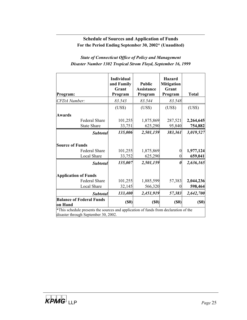# **Schedule of Sources and Application of Funds For the Period Ending September 30, 2002\* (Unaudited)**

# *State of Connecticut Office of Policy and Management Disaster Number 1302 Tropical Strom Floyd, September 16, 1999*

|                                                                                                                              |                                     | <b>Individual</b><br>and Family<br>Grant | <b>Public</b><br><b>Assistance</b> | <b>Hazard</b><br><b>Mitigation</b><br>Grant |                      |
|------------------------------------------------------------------------------------------------------------------------------|-------------------------------------|------------------------------------------|------------------------------------|---------------------------------------------|----------------------|
| Program:                                                                                                                     |                                     | Program                                  | Program                            | Program                                     | <b>Total</b>         |
| <b>CFDA</b> Number:                                                                                                          |                                     | 83.543                                   | 83.544                             | 83.548                                      |                      |
|                                                                                                                              |                                     | (US\$)                                   | (US\$)                             | (US\$)                                      | (US\$)               |
| <b>Awards</b>                                                                                                                |                                     |                                          |                                    |                                             |                      |
|                                                                                                                              | <b>Federal Share</b>                | 101,255                                  | 1,875,869                          | 287,521                                     | 2,264,645            |
|                                                                                                                              | <b>State Share</b>                  | 33,751                                   | 625,290                            | 95,840                                      | 754,882              |
|                                                                                                                              | <b>Subtotal</b>                     | 135,006                                  | 2,501,159                          | 383,361                                     | 3,019,527            |
| <b>Source of Funds</b>                                                                                                       | <b>Federal Share</b><br>Local Share | 101,255<br>33,752                        | 1,875,869<br>625,290               | $\boldsymbol{0}$<br>$\theta$                | 1,977,124<br>659,041 |
|                                                                                                                              | <b>Subtotal</b>                     | 135,007                                  | 2,501,159                          | 0                                           | 2,636,165            |
| <b>Application of Funds</b>                                                                                                  |                                     |                                          |                                    |                                             |                      |
|                                                                                                                              | <b>Federal Share</b>                | 101,255                                  | 1,885,599                          | 57,383                                      | 2,044,236            |
|                                                                                                                              | <b>Local Share</b>                  | 32,145                                   | 566,320                            | 0                                           | 598,464              |
|                                                                                                                              | <b>Subtotal</b>                     | 133,400                                  | 2,451,919                          | 57,383                                      | 2,642,700            |
| <b>Balance of Federal Funds</b><br>on Hand                                                                                   |                                     | (S <sub>0</sub> )                        | (S <sub>0</sub> )                  | (S0)                                        | (S0)                 |
| *This schedule presents the sources and application of funds from declaration of the<br>disaster through September 30, 2002. |                                     |                                          |                                    |                                             |                      |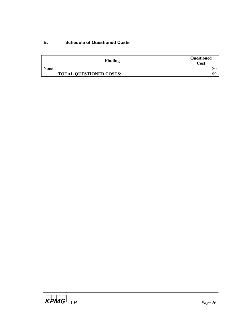# **B. Schedule of Questioned Costs**

| Finding                        | Questioned<br>Cost |
|--------------------------------|--------------------|
| None                           | DΙ                 |
| <b>TOTAL QUESTIONED COSTS:</b> | \$0                |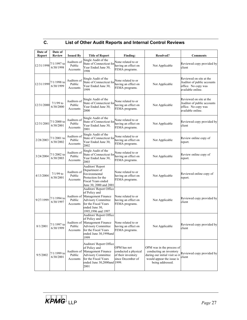| ⌒<br>v. | List of Other Audit Reports and Internal Control Reviews |
|---------|----------------------------------------------------------|
|         |                                                          |

| Date of<br><b>Report</b> | Date of<br><b>Review</b>   | <b>Issued By</b>                  | <b>Title of Report</b>                                                                                                                                                 | Finding:                                                                       | <b>Resolved?</b>                                                                                                                        | <b>Comments</b>                                                                                   |
|--------------------------|----------------------------|-----------------------------------|------------------------------------------------------------------------------------------------------------------------------------------------------------------------|--------------------------------------------------------------------------------|-----------------------------------------------------------------------------------------------------------------------------------------|---------------------------------------------------------------------------------------------------|
| 12/31/1998               | 7/1/1997 to<br>6/30/1998   | Auditors of<br>Public<br>Accounts | Single Audit of the<br>State of Connecticut for<br>Year Ended June 30,<br>1998                                                                                         | None related to or<br>having an effect on<br>FEMA programs.                    | Not Applicable                                                                                                                          | Reviewed copy provided by<br>client                                                               |
| 12/31/1999               | 7/1/1998 to<br>6/30/1999   | Auditors of<br>Public<br>Accounts | Single Audit of the<br>State of Connecticut for<br>Year Ended June 30,<br>1999                                                                                         | None related to or<br>having an effect on<br>FEMA programs.                    | Not Applicable                                                                                                                          | Reviewed on site at the<br>Auditor of public accounts<br>office. No copy was<br>available online. |
| 12/31/2000               | $7/1/99$ to<br>6/30/2000   | Auditors of<br>Public<br>Accounts | Single Audit of the<br>State of Connecticut for<br>Year Ended June 30,<br>2000                                                                                         | None related to or<br>having an effect on<br>FEMA programs.                    | Not Applicable                                                                                                                          | Reviewed on site at the<br>Auditor of public accounts<br>office. No copy was<br>available online. |
| 12/31/2001               | $7/1/2000$ to<br>6/30/2001 | Auditors of<br>Public<br>Accounts | Single Audit of the<br>State of Connecticut for<br>Year Ended June 30,<br>2001                                                                                         | None related to or<br>having an effect on<br>FEMA programs.                    | Not Applicable                                                                                                                          | Reviewed copy provided by<br>client                                                               |
| 2/28/2003                | 7/1/2001 to<br>6/30/2002   | Auditors of<br>Public<br>Accounts | Single Audit of the<br>State of Connecticut for<br>Year Ended June 30,<br>2002                                                                                         | None related to or<br>having an effect on<br>FEMA programs.                    | Not Applicable                                                                                                                          | Review online copy of<br>report.                                                                  |
| 3/24/2004                | $7/1/2002$ to<br>6/30/2003 | Auditors of<br>Public<br>Accounts | Single Audit of the<br>State of Connecticut for<br>Year Ended June 30,<br>2003                                                                                         | None related to or<br>having an effect on<br>FEMA programs.                    | Not Applicable                                                                                                                          | Review online copy of<br>report.                                                                  |
| 4/13/2004                | $7/1/99$ to<br>6/30/2001   | Auditors of<br>Public<br>Accounts | <b>Auditors' Report</b><br>Department of<br>Environmental<br>Protection for the<br>Fiscal Years ended<br>June 30, 2000 and 2001                                        | None related to or<br>having an effect on<br>FEMA programs.                    | Not Applicable                                                                                                                          | Reviewed online copy of<br>report.                                                                |
| 9/27/1999                | 7/1/1994 to<br>6/30/1997   | Auditors of<br>Public<br>Accounts | Auditors' Report Office<br>of Policy and<br>Management Finance<br><b>Advisory Committee</b><br>for the Fiscal Years<br>ended June 30,<br>1995,1996 and 1997            | None related to or<br>having an effect on<br>FEMA programs.                    | Not Applicable                                                                                                                          | Reviewed copy provided by<br>client                                                               |
| 8/1/2001                 | 7/1/1997 to<br>6/30/1999   | Auditors of<br>Public<br>Accounts | Auditors' Report Office<br>of Policy and<br>Management Finance<br><b>Advisory Committee</b><br>for the Fiscal Years<br>ended June 30,1998and<br>1999                   | None related to or<br>having an effect on<br>FEMA programs.                    | Not Applicable                                                                                                                          | Reviewed copy provided by<br>client                                                               |
| 9/5/2002                 | 7/1/1999 to<br>6/30/2001   | Public<br>Accounts                | Auditors' Report Office<br>of Policy and<br>Auditors of Management Finance<br><b>Advisory Committee</b><br>for the Fiscal Years<br>ended June 30,2000and 1999.<br>2001 | OPM has not<br>conducted a physical<br>of their inventory<br>since December of | OPM was in the process of<br>conducting an inventory<br>during our initial visit so it<br>would appear the issue is<br>being addressed. | Reviewed copy provided by<br>client                                                               |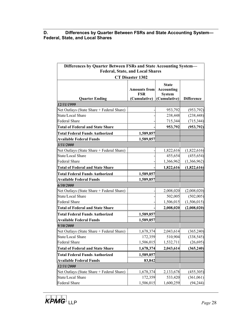**D. Differences by Quarter Between FSRs and State Accounting System— Federal, State, and Local Shares** 

| Differences by Quarter Between FSRs and State Accounting System- |                                                   |                                                                    |                   |  |  |  |  |
|------------------------------------------------------------------|---------------------------------------------------|--------------------------------------------------------------------|-------------------|--|--|--|--|
| <b>Federal, State, and Local Shares</b>                          |                                                   |                                                                    |                   |  |  |  |  |
| <b>CT Disaster 1302</b>                                          |                                                   |                                                                    |                   |  |  |  |  |
| <b>Quarter Ending</b>                                            | <b>Amounts from</b><br><b>FSR</b><br>(Cumulative) | <b>State</b><br><b>Accounting</b><br><b>System</b><br>(Cumulative) | <b>Difference</b> |  |  |  |  |
| 12/31/1999                                                       |                                                   |                                                                    |                   |  |  |  |  |
| Net Outlays (State Share + Federal Share)                        |                                                   | 953,792                                                            | (953, 792)        |  |  |  |  |
| State/Local Share                                                |                                                   | 238,448                                                            | (238, 448)        |  |  |  |  |
| <b>Federal Share</b>                                             |                                                   | 715,344                                                            | (715, 344)        |  |  |  |  |
| <b>Total of Federal and State Share</b>                          |                                                   | 953,792                                                            | (953, 792)        |  |  |  |  |
| <b>Total Federal Funds Authorized</b>                            | 1,589,857                                         |                                                                    |                   |  |  |  |  |
| <b>Available Federal Funds</b>                                   | 1,589,857                                         |                                                                    |                   |  |  |  |  |
| 3/31/2000                                                        |                                                   |                                                                    |                   |  |  |  |  |
| Net Outlays (State Share + Federal Share)                        |                                                   | 1,822,616                                                          | (1,822,616)       |  |  |  |  |
| State/Local Share                                                |                                                   | 455,654                                                            | (455, 654)        |  |  |  |  |
| <b>Federal Share</b>                                             |                                                   | 1,366,962                                                          | (1,366,962)       |  |  |  |  |
| <b>Total of Federal and State Share</b>                          |                                                   | 1,822,616                                                          | (1,822,616)       |  |  |  |  |
| <b>Total Federal Funds Authorized</b>                            | 1,589,857                                         |                                                                    |                   |  |  |  |  |
| <b>Available Federal Funds</b>                                   | 1,589,857                                         |                                                                    |                   |  |  |  |  |
| 6/30/2000                                                        |                                                   |                                                                    |                   |  |  |  |  |
| Net Outlays (State Share + Federal Share)                        |                                                   | 2,008,020                                                          | (2,008,020)       |  |  |  |  |
| State/Local Share                                                |                                                   | 502,005                                                            | (502,005)         |  |  |  |  |
| <b>Federal Share</b>                                             |                                                   | 1,506,015                                                          | (1,506,015)       |  |  |  |  |
| <b>Total of Federal and State Share</b>                          |                                                   | 2,008,020                                                          | (2,008,020)       |  |  |  |  |
| <b>Total Federal Funds Authorized</b>                            | 1,589,857                                         |                                                                    |                   |  |  |  |  |
| <b>Available Federal Funds</b>                                   | 1,589,857                                         |                                                                    |                   |  |  |  |  |
| 9/30/2000                                                        |                                                   |                                                                    |                   |  |  |  |  |
| Net Outlays (State Share + Federal Share)                        | 1,678,374                                         | 2,043,614                                                          | (365, 240)        |  |  |  |  |
| State/Local Share                                                | 172,359                                           | 510,904                                                            | (338, 545)        |  |  |  |  |
| <b>Federal Share</b>                                             | 1,506,015                                         | 1,532,711                                                          | (26, 695)         |  |  |  |  |
| <b>Total of Federal and State Share</b>                          | 1,678,374                                         | 2,043,614                                                          | (365, 240)        |  |  |  |  |
| <b>Total Federal Funds Authorized</b>                            | 1,589,857                                         |                                                                    |                   |  |  |  |  |
| <b>Available Federal Funds</b>                                   | 83,842                                            |                                                                    |                   |  |  |  |  |
| <i><b>12/31/2000</b></i>                                         |                                                   |                                                                    |                   |  |  |  |  |
| Net Outlays (State Share + Federal Share)                        | 1,678,374                                         | 2,133,678                                                          | (455,305)         |  |  |  |  |
| State/Local Share                                                | 172,359                                           | 533,420                                                            | (361,061)         |  |  |  |  |
| Federal Share                                                    | 1,506,015                                         | 1,600,259                                                          | (94, 244)         |  |  |  |  |

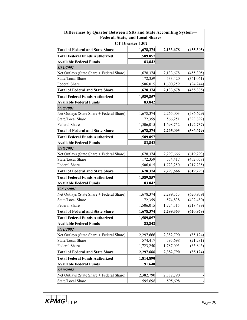| Differences by Quarter Between FSRs and State Accounting System-<br><b>Federal, State, and Local Shares</b><br><b>CT Disaster 1302</b> |           |           |            |  |  |
|----------------------------------------------------------------------------------------------------------------------------------------|-----------|-----------|------------|--|--|
|                                                                                                                                        |           |           |            |  |  |
| <b>Total of Federal and State Share</b>                                                                                                | 1,678,374 | 2,133,678 | (455,305)  |  |  |
| <b>Total Federal Funds Authorized</b>                                                                                                  | 1,589,857 |           |            |  |  |
| <b>Available Federal Funds</b>                                                                                                         | 83,842    |           |            |  |  |
| 3/31/2001                                                                                                                              |           |           |            |  |  |
| Net Outlays (State Share + Federal Share)                                                                                              | 1,678,374 | 2,133,678 | (455,305)  |  |  |
| State/Local Share                                                                                                                      | 172,359   | 533,420   | (361,061)  |  |  |
| <b>Federal Share</b>                                                                                                                   | 1,506,015 | 1,600,259 | (94, 244)  |  |  |
| <b>Total of Federal and State Share</b>                                                                                                | 1,678,374 | 2,133,678 | (455,305)  |  |  |
| <b>Total Federal Funds Authorized</b>                                                                                                  | 1,589,857 |           |            |  |  |
| <b>Available Federal Funds</b>                                                                                                         | 83,842    |           |            |  |  |
| 6/30/2001                                                                                                                              |           |           |            |  |  |
| Net Outlays (State Share + Federal Share)                                                                                              | 1,678,374 | 2,265,003 | (586, 629) |  |  |
| State/Local Share                                                                                                                      | 172,359   | 566,251   | (393, 892) |  |  |
| <b>Federal Share</b>                                                                                                                   | 1,506,015 | 1,698,752 | (192, 737) |  |  |
| <b>Total of Federal and State Share</b>                                                                                                | 1,678,374 | 2,265,003 | (586, 629) |  |  |
| <b>Total Federal Funds Authorized</b>                                                                                                  | 1,589,857 |           |            |  |  |
| <b>Available Federal Funds</b>                                                                                                         | 83,842    |           |            |  |  |
| 9/30/2001                                                                                                                              |           |           |            |  |  |
| Net Outlays (State Share + Federal Share)                                                                                              | 1,678,374 | 2,297,666 | (619, 293) |  |  |
| State/Local Share                                                                                                                      | 172,359   | 574,417   | (402, 058) |  |  |
| <b>Federal Share</b>                                                                                                                   | 1,506,015 | 1,723,250 | (217, 235) |  |  |
| <b>Total of Federal and State Share</b>                                                                                                | 1,678,374 | 2,297,666 | (619,293)  |  |  |
| <b>Total Federal Funds Authorized</b>                                                                                                  | 1,589,857 |           |            |  |  |
| <b>Available Federal Funds</b>                                                                                                         | 83,842    |           |            |  |  |
| 12/31/2001                                                                                                                             |           |           |            |  |  |
| Net Outlays (State Share + Federal Share)                                                                                              | 1,678,374 | 2,299,353 | (620, 979) |  |  |
| State/Local Share                                                                                                                      | 172,359   | 574,838   | (402, 480) |  |  |
| Federal Share                                                                                                                          | 1,506,015 | 1,724,515 | (218, 499) |  |  |
| <b>Total of Federal and State Share</b>                                                                                                | 1,678,374 | 2,299,353 | (620, 979) |  |  |
| <b>Total Federal Funds Authorized</b>                                                                                                  | 1,589,857 |           |            |  |  |
| <b>Available Federal Funds</b>                                                                                                         | 83,842    |           |            |  |  |
| 3/31/2002                                                                                                                              |           |           |            |  |  |
| Net Outlays (State Share + Federal Share)                                                                                              | 2,297,666 | 2,382,790 | (85, 124)  |  |  |
| State/Local Share                                                                                                                      | 574,417   | 595,698   | (21, 281)  |  |  |
| <b>Federal Share</b>                                                                                                                   | 1,723,250 | 1,787,093 | (63, 843)  |  |  |
| <b>Total of Federal and State Share</b>                                                                                                | 2,297,666 | 2,382,790 | (85, 124)  |  |  |
| <b>Total Federal Funds Authorized</b>                                                                                                  | 1,814,890 |           |            |  |  |
| <b>Available Federal Funds</b>                                                                                                         | 91,640    |           |            |  |  |
| 6/30/2002                                                                                                                              |           |           |            |  |  |
| Net Outlays (State Share + Federal Share)                                                                                              | 2,382,790 | 2,382,790 |            |  |  |
| State/Local Share                                                                                                                      | 595,698   | 595,698   |            |  |  |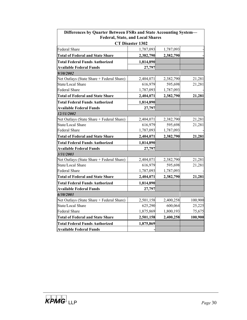| Differences by Quarter Between FSRs and State Accounting System-<br><b>Federal, State, and Local Shares</b> |           |           |         |  |  |
|-------------------------------------------------------------------------------------------------------------|-----------|-----------|---------|--|--|
| <b>CT Disaster 1302</b>                                                                                     |           |           |         |  |  |
| Federal Share                                                                                               | 1,787,093 | 1,787,093 |         |  |  |
| <b>Total of Federal and State Share</b>                                                                     | 2,382,790 | 2,382,790 |         |  |  |
| <b>Total Federal Funds Authorized</b>                                                                       | 1,814,890 |           |         |  |  |
| <b>Available Federal Funds</b>                                                                              | 27,797    |           |         |  |  |
| <i>9/30/2002</i>                                                                                            |           |           |         |  |  |
| Net Outlays (State Share + Federal Share)                                                                   | 2,404,071 | 2,382,790 | 21,281  |  |  |
| State/Local Share                                                                                           | 616,979   | 595,698   | 21,281  |  |  |
| <b>Federal Share</b>                                                                                        | 1,787,093 | 1,787,093 |         |  |  |
| <b>Total of Federal and State Share</b>                                                                     | 2,404,071 | 2,382,790 | 21,281  |  |  |
| <b>Total Federal Funds Authorized</b>                                                                       | 1,814,890 |           |         |  |  |
| <b>Available Federal Funds</b>                                                                              | 27,797    |           |         |  |  |
| 12/31/2002                                                                                                  |           |           |         |  |  |
| Net Outlays (State Share + Federal Share)                                                                   | 2,404,071 | 2,382,790 | 21,281  |  |  |
| State/Local Share                                                                                           | 616,979   | 595,698   | 21,281  |  |  |
| Federal Share                                                                                               | 1,787,093 | 1,787,093 |         |  |  |
| <b>Total of Federal and State Share</b>                                                                     | 2,404,071 | 2,382,790 | 21,281  |  |  |
| <b>Total Federal Funds Authorized</b>                                                                       | 1,814,890 |           |         |  |  |
| <b>Available Federal Funds</b>                                                                              | 27,797    |           |         |  |  |
| 3/31/2003                                                                                                   |           |           |         |  |  |
| Net Outlays (State Share + Federal Share)                                                                   | 2,404,071 | 2,382,790 | 21,281  |  |  |
| State/Local Share                                                                                           | 616,979   | 595,698   | 21,281  |  |  |
| <b>Federal Share</b>                                                                                        | 1,787,093 | 1,787,093 |         |  |  |
| <b>Total of Federal and State Share</b>                                                                     | 2,404,071 | 2,382,790 | 21,281  |  |  |
| <b>Total Federal Funds Authorized</b>                                                                       | 1,814,890 |           |         |  |  |
| <b>Available Federal Funds</b>                                                                              | 27,797    |           |         |  |  |
| 6/30/2003                                                                                                   |           |           |         |  |  |
| Net Outlays (State Share + Federal Share)                                                                   | 2,501,158 | 2,400,258 | 100,900 |  |  |
| State/Local Share                                                                                           | 625,290   | 600,064   | 25,225  |  |  |
| Federal Share                                                                                               | 1,875,869 | 1,800,193 | 75,675  |  |  |
| <b>Total of Federal and State Share</b>                                                                     | 2,501,158 | 2,400,258 | 100,900 |  |  |
| <b>Total Federal Funds Authorized</b>                                                                       | 1,875,869 |           |         |  |  |
| <b>Available Federal Funds</b>                                                                              |           |           |         |  |  |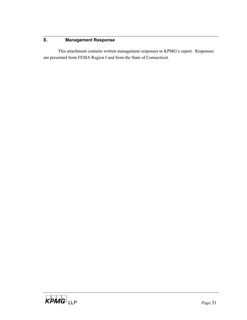# **E. Management Response**

This attachment contains written management responses to KPMG's report. Responses are presented from FEMA Region I and from the State of Connecticut.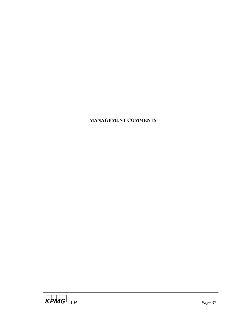# **MANAGEMENT COMMENTS**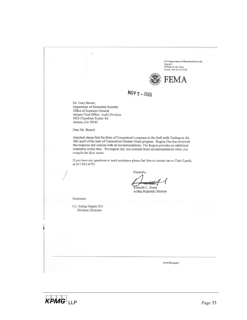U.S. Department of Homeland Security<br>Region I 99 High St, 6th Floor<br>Boston, MA 02110-2320



NOV 7 - 2005

Mr. Gary Berard, Department of Homeland Security Office of Inspector General Atlanta Field Office- Audit Division 3003 Chamblee Tucker Rd Atlanta, GA 30341

Dear Mr. Berard:

Attached please find the State of Connecticut's response to the draft audit findings to the OIG audit of the state of Connecticut Disaster Grant program. Region One has reviewed this response and concurs with its recommendations. The Region provides no additional comments at this time. We request that you consider these recommendations when you compile the final report.

If you have any questions or need assistance please feel free to contact me or Chris Lynch, at 617-832-4795.

Sincerely,

Kenneth L. Horak

Acting Regional Director

www.fema.gov

Enclosure

Cc: Acting Deputy RD Division Directors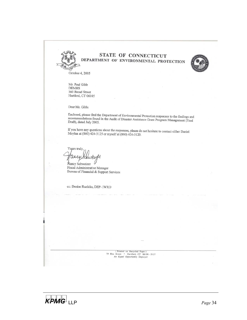

# **STATE OF CONNECTICUT** DEPARTMENT OF ENVIRONMENTAL PROTECTION



October 4, 2005

Mr. Paul Gibb **DEMHS** 360 Broad Street Hartford, CT 06105

Dear Mr. Gibb:

Enclosed, please find the Department of Environmental Protection responses to the findings and recommendations found in the Audit of Director Assistance Co. recommendations found in the Audit of Disaster Assistance Grant Program Management (Final<br>Draft), dated July 2005 Draft), dated July 2005.

If you have any questions about the responses, please do not hesitate to contact either Daniel<br>Movlan at (860) 424-3125 or myself at (860) 424-3120 Moylan at (860) 424-3125 or myself at (860) 424-3120.

Yours truly,  $\alpha$ 

Nancy Schweizer Fiscal Administrative Manager Bureau of Financial & Support Services

cc: Denise Ruzicka, DEP- IWRD

(Printed on Recycled Paper)<br>
79 Elm Street • Hartford, CT 06106 - 5127<br>
An Equal Opportunity Employer

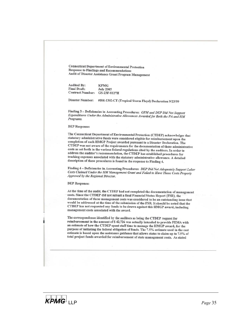**Connecticut Department of Environmental Protection Response to Findings and Recommendations** Audit of Disaster Assistance Grant Program Management

Audited By: **KPMG Final Draft: July 2005 Contract Number:** GS-23F-8127H

#DR-1302-CT (Tropical Storm Floyd) Declaration 9/23/99 **Disaster Number:** 

Finding 3 - Deficiencies in Accounting Procedures: OPM and DEP Did Not Support Expenditures Under the Administrative Allowances Awarded for Both the PA and HM Programs.

#### **DEP** Response:

The Connecticut Department of Environmental Protection (CTDEP) acknowledges that statutory administrative funds were considered eligible for reimbursement upon the completion of each HMGP Project awarded pursuant to a Disaster Declaration. The CTDEP was not aware of the requirements for the documentation of these administrative costs as set forth in the various federal regulations cited by the auditors. In order to address the auditor's recommendation, the CTDEP has established procedures for tracking expenses associated with the statutory administrative allowance. A detailed description of these procedures is found in the response to Finding 4.

Finding 4 - Deficiencies in Accounting Procedures: DEP Did Not Adequately Support Labor Costs Claimed Under the HM Management Grant and Failed to Have Those Costs Properly Approved by the Regional Director.

#### **DEP Response:**

At the time of the audit, the CTDEP had not completed the documentation of management costs. Since the CTDEP did not submit a final Financial Status Report (FSR), the documentation of these management costs was considered to be an outstanding issue that would be addressed at the time of the submission of the FSR. It should be noted that the CTDEP has not requested any funds to be drawn against this HMGP award, including management costs associated with the award.

The correspondence identified by the auditors as being the CTDEP request for reimbursement in the amount of \$42,726 was actually intended to provide FEMA with an estimate of how the CTDEP spent staff time to manage the HMGP award, for the purpose of initiating the federal obligation of funds. The 7.5% estimate used in the cost estimate is based upon the assistance guidance that allows states to claim up to 7.5% of total project funds awarded for reimbursement of state management costs. As stated

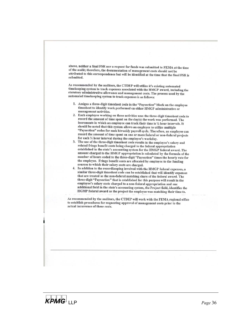above, neither a final FSR nor a request for funds was submitted to FEMA at the time of the audit; therefore, the documentation of management costs should not be attributed to this correspondence but will be identified at the time that the final FSR is submitted

As recommended by the auditors, the CTDEP will utilize it's existing automated timekeeping system to track expenses associated with the HMGP award, including the statutory administrative allowance and management costs. The process used by the automated timekeeping system to track expenses is as follows:

- 1. Assigns a three-digit timesheet code in the "Paysection" block on the employee timesheet to identify work performed on either HMGP administrative or management activities.
- 2. Each employee working on these activities uses the three-digit timesheet code to record the amount of time spent on the day(s) the work was performed. The increments in which an employee can track their time is 1/4 hour intervals. It should be noted that this system allows an employee to utilize multiple "Paysection" codes for each biweekly payroll cycle. Therefore, an employee can record the amount of time spent on one or more federal or non-federal projects for each 1/4 hour interval during the employee's workday.
- 3. The use of the three-digit timesheet code results in the employee's salary and related fringe benefit costs being charged to the federal appropriation established in the state's accounting system for the HMGP federal award. The amount charged to the HMGP appropriation is calculated by the formula of the number of hours coded to the three-digit "Paysection" times the hourly rate for the employee. Fringe benefit costs are allocated by employee to the funding sources to which their salary costs are charged.
- In addition to the recordkeeping involved with the HMGP federal expenses, a  $\overline{4}$ . similar three-digit timesheet code can be established that will identify expenses that are treated as the non-federal matching share of the federal award. The three-digit "Paysection" that is established for this purpose will result in the employee's salary costs charged to a non-federal appropriation and one additional field in the state's accounting system, the Project field, identifies the HGMP federal award as the project the employee was matching their time to.

As recommended by the auditors, the CTDEP will work with the FEMA regional office to establish procedures for requesting approval of management costs prior to the actual incurrence of these costs.